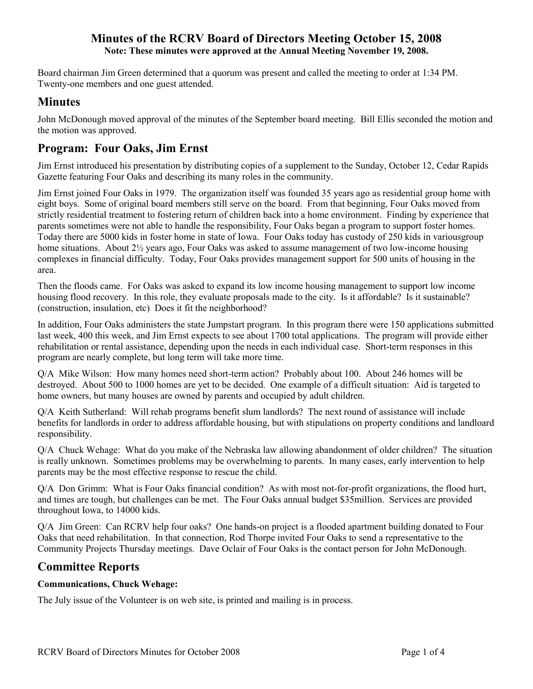Board chairman Jim Green determined that a quorum was present and called the meeting to order at 1:34 PM. Twenty-one members and one guest attended.

# **Minutes**

John McDonough moved approval of the minutes of the September board meeting. Bill Ellis seconded the motion and the motion was approved.

# **Program: Four Oaks, Jim Ernst**

Jim Ernst introduced his presentation by distributing copies of a supplement to the Sunday, October 12, Cedar Rapids Gazette featuring Four Oaks and describing its many roles in the community.

Jim Ernst joined Four Oaks in 1979. The organization itself was founded 35 years ago as residential group home with eight boys. Some of original board members still serve on the board. From that beginning, Four Oaks moved from strictly residential treatment to fostering return of children back into a home environment. Finding by experience that parents sometimes were not able to handle the responsibility, Four Oaks began a program to support foster homes. Today there are 5000 kids in foster home in state of Iowa. Four Oaks today has custody of 250 kids in variousgroup home situations. About 2½ years ago, Four Oaks was asked to assume management of two low-income housing complexes in financial difficulty. Today, Four Oaks provides management support for 500 units of housing in the area.

Then the floods came. For Oaks was asked to expand its low income housing management to support low income housing flood recovery. In this role, they evaluate proposals made to the city. Is it affordable? Is it sustainable? (construction, insulation, etc) Does it fit the neighborhood?

In addition, Four Oaks administers the state Jumpstart program. In this program there were 150 applications submitted last week, 400 this week, and Jim Ernst expects to see about 1700 total applications. The program will provide either rehabilitation or rental assistance, depending upon the needs in each individual case. Short-term responses in this program are nearly complete, but long term will take more time.

Q/A Mike Wilson: How many homes need short-term action? Probably about 100. About 246 homes will be destroyed. About 500 to 1000 homes are yet to be decided. One example of a difficult situation: Aid is targeted to home owners, but many houses are owned by parents and occupied by adult children.

Q/A Keith Sutherland: Will rehab programs benefit slum landlords? The next round of assistance will include benefits for landlords in order to address affordable housing, but with stipulations on property conditions and landloard responsibility.

Q/A Chuck Wehage: What do you make of the Nebraska law allowing abandonment of older children? The situation is really unknown. Sometimes problems may be overwhelming to parents. In many cases, early intervention to help parents may be the most effective response to rescue the child.

Q/A Don Grimm: What is Four Oaks financial condition? As with most not-for-profit organizations, the flood hurt, and times are tough, but challenges can be met. The Four Oaks annual budget \$35million. Services are provided throughout Iowa, to 14000 kids.

Q/A Jim Green: Can RCRV help four oaks? One hands-on project is a flooded apartment building donated to Four Oaks that need rehabilitation. In that connection, Rod Thorpe invited Four Oaks to send a representative to the Community Projects Thursday meetings. Dave Oclair of Four Oaks is the contact person for John McDonough.

# **Committee Reports**

## **Communications, Chuck Wehage:**

The July issue of the Volunteer is on web site, is printed and mailing is in process.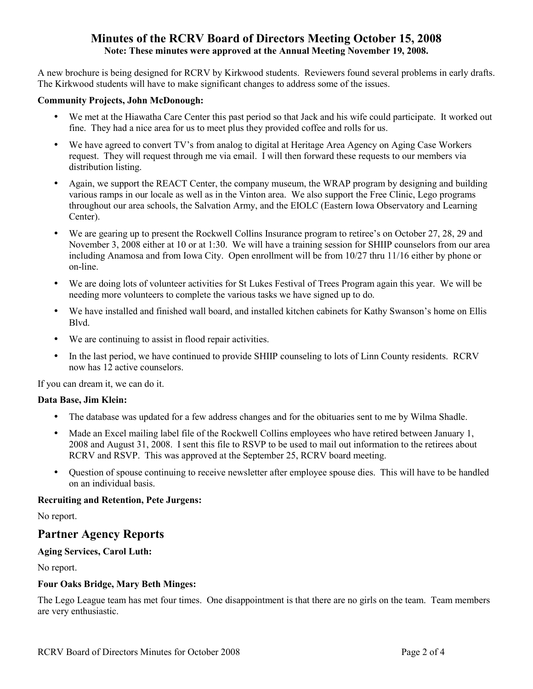A new brochure is being designed for RCRV by Kirkwood students. Reviewers found several problems in early drafts. The Kirkwood students will have to make significant changes to address some of the issues.

#### **Community Projects, John McDonough:**

- We met at the Hiawatha Care Center this past period so that Jack and his wife could participate. It worked out fine. They had a nice area for us to meet plus they provided coffee and rolls for us.
- We have agreed to convert TV's from analog to digital at Heritage Area Agency on Aging Case Workers request. They will request through me via email. I will then forward these requests to our members via distribution listing.
- Again, we support the REACT Center, the company museum, the WRAP program by designing and building various ramps in our locale as well as in the Vinton area. We also support the Free Clinic, Lego programs throughout our area schools, the Salvation Army, and the EIOLC (Eastern Iowa Observatory and Learning Center).
- We are gearing up to present the Rockwell Collins Insurance program to retiree's on October 27, 28, 29 and November 3, 2008 either at 10 or at 1:30. We will have a training session for SHIIP counselors from our area including Anamosa and from Iowa City. Open enrollment will be from 10/27 thru 11/16 either by phone or on-line.
- We are doing lots of volunteer activities for St Lukes Festival of Trees Program again this year. We will be needing more volunteers to complete the various tasks we have signed up to do.
- We have installed and finished wall board, and installed kitchen cabinets for Kathy Swanson's home on Ellis Blvd.
- We are continuing to assist in flood repair activities.
- In the last period, we have continued to provide SHIIP counseling to lots of Linn County residents. RCRV now has 12 active counselors.

If you can dream it, we can do it.

#### **Data Base, Jim Klein:**

- The database was updated for a few address changes and for the obituaries sent to me by Wilma Shadle.
- Made an Excel mailing label file of the Rockwell Collins employees who have retired between January 1, 2008 and August 31, 2008. I sent this file to RSVP to be used to mail out information to the retirees about RCRV and RSVP. This was approved at the September 25, RCRV board meeting.
- Question of spouse continuing to receive newsletter after employee spouse dies. This will have to be handled on an individual basis.

#### **Recruiting and Retention, Pete Jurgens:**

No report.

## **Partner Agency Reports**

#### **Aging Services, Carol Luth:**

No report.

## **Four Oaks Bridge, Mary Beth Minges:**

The Lego League team has met four times. One disappointment is that there are no girls on the team. Team members are very enthusiastic.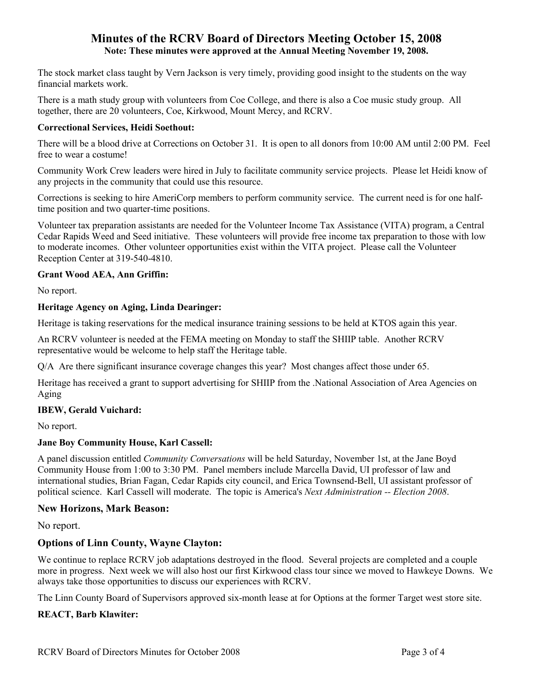The stock market class taught by Vern Jackson is very timely, providing good insight to the students on the way financial markets work.

There is a math study group with volunteers from Coe College, and there is also a Coe music study group. All together, there are 20 volunteers, Coe, Kirkwood, Mount Mercy, and RCRV.

#### **Correctional Services, Heidi Soethout:**

There will be a blood drive at Corrections on October 31. It is open to all donors from 10:00 AM until 2:00 PM. Feel free to wear a costume!

Community Work Crew leaders were hired in July to facilitate community service projects. Please let Heidi know of any projects in the community that could use this resource.

Corrections is seeking to hire AmeriCorp members to perform community service. The current need is for one halftime position and two quarter-time positions.

Volunteer tax preparation assistants are needed for the Volunteer Income Tax Assistance (VITA) program, a Central Cedar Rapids Weed and Seed initiative. These volunteers will provide free income tax preparation to those with low to moderate incomes. Other volunteer opportunities exist within the VITA project. Please call the Volunteer Reception Center at 319-540-4810.

### **Grant Wood AEA, Ann Griffin:**

No report.

#### **Heritage Agency on Aging, Linda Dearinger:**

Heritage is taking reservations for the medical insurance training sessions to be held at KTOS again this year.

An RCRV volunteer is needed at the FEMA meeting on Monday to staff the SHIIP table. Another RCRV representative would be welcome to help staff the Heritage table.

Q/A Are there significant insurance coverage changes this year? Most changes affect those under 65.

Heritage has received a grant to support advertising for SHIIP from the .National Association of Area Agencies on Aging

#### **IBEW, Gerald Vuichard:**

No report.

#### **Jane Boy Community House, Karl Cassell:**

A panel discussion entitled *Community Conversations* will be held Saturday, November 1st, at the Jane Boyd Community House from 1:00 to 3:30 PM. Panel members include Marcella David, UI professor of law and international studies, Brian Fagan, Cedar Rapids city council, and Erica Townsend-Bell, UI assistant professor of political science. Karl Cassell will moderate. The topic is America's *Next Administration -- Election 2008*.

#### **New Horizons, Mark Beason:**

No report.

## **Options of Linn County, Wayne Clayton:**

We continue to replace RCRV job adaptations destroyed in the flood. Several projects are completed and a couple more in progress. Next week we will also host our first Kirkwood class tour since we moved to Hawkeye Downs. We always take those opportunities to discuss our experiences with RCRV.

The Linn County Board of Supervisors approved six-month lease at for Options at the former Target west store site.

## **REACT, Barb Klawiter:**